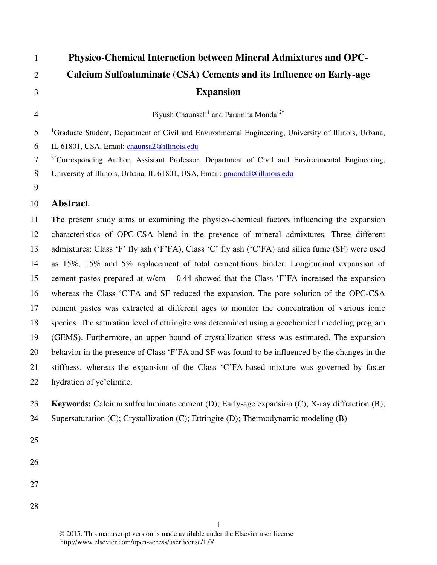| $\mathbf{1}$   | <b>Physico-Chemical Interaction between Mineral Admixtures and OPC-</b>                                           |
|----------------|-------------------------------------------------------------------------------------------------------------------|
| $\overline{2}$ | Calcium Sulfoaluminate (CSA) Cements and its Influence on Early-age                                               |
| 3              | <b>Expansion</b>                                                                                                  |
| $\overline{4}$ | Piyush Chaunsali <sup>1</sup> and Paramita Mondal <sup>2*</sup>                                                   |
| 5              | <sup>1</sup> Graduate Student, Department of Civil and Environmental Engineering, University of Illinois, Urbana, |
| 6              | IL 61801, USA, Email: chaunsa2@illinois.edu                                                                       |
| $\tau$         | <sup>2*</sup> Corresponding Author, Assistant Professor, Department of Civil and Environmental Engineering,       |
| 8              | University of Illinois, Urbana, IL 61801, USA, Email: pmondal@illinois.edu                                        |
| 9              |                                                                                                                   |

## 10 **Abstract**

11 The present study aims at examining the physico-chemical factors influencing the expansion 12 characteristics of OPC-CSA blend in the presence of mineral admixtures. Three different 13 admixtures: Class 'F' fly ash ('F'FA), Class 'C' fly ash ('C'FA) and silica fume (SF) were used 14 as 15%, 15% and 5% replacement of total cementitious binder. Longitudinal expansion of 15 cement pastes prepared at  $w/cm - 0.44$  showed that the Class 'F'FA increased the expansion 16 whereas the Class ‗C'FA and SF reduced the expansion. The pore solution of the OPC-CSA 17 cement pastes was extracted at different ages to monitor the concentration of various ionic 18 species. The saturation level of ettringite was determined using a geochemical modeling program 19 (GEMS). Furthermore, an upper bound of crystallization stress was estimated. The expansion 20 behavior in the presence of Class 'F'FA and SF was found to be influenced by the changes in the 21 stiffness, whereas the expansion of the Class 'C'FA-based mixture was governed by faster 22 hydration of ye'elimite.

- 23 **Keywords:** Calcium sulfoaluminate cement (D); Early-age expansion (C); X-ray diffraction (B);
- 24 Supersaturation (C); Crystallization (C); Ettringite (D); Thermodynamic modeling (B)
- 25
- 26
- 27
- 
- 28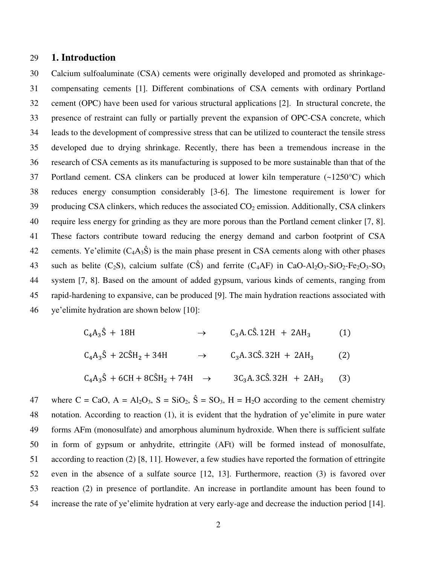#### 29 **1. Introduction**

30 Calcium sulfoaluminate (CSA) cements were originally developed and promoted as shrinkage-31 compensating cements [1]. Different combinations of CSA cements with ordinary Portland 32 cement (OPC) have been used for various structural applications [2]. In structural concrete, the 33 presence of restraint can fully or partially prevent the expansion of OPC-CSA concrete, which 34 leads to the development of compressive stress that can be utilized to counteract the tensile stress 35 developed due to drying shrinkage. Recently, there has been a tremendous increase in the 36 research of CSA cements as its manufacturing is supposed to be more sustainable than that of the 37 Portland cement. CSA clinkers can be produced at lower kiln temperature (~1250°C) which 38 reduces energy consumption considerably [3-6]. The limestone requirement is lower for 39 producing CSA clinkers, which reduces the associated  $CO<sub>2</sub>$  emission. Additionally, CSA clinkers 40 require less energy for grinding as they are more porous than the Portland cement clinker [7, 8]. 41 These factors contribute toward reducing the energy demand and carbon footprint of CSA 42 cements. Ye'elimite  $(C_4A_3\hat{S})$  is the main phase present in CSA cements along with other phases 43 such as belite (C<sub>2</sub>S), calcium sulfate (C<sub>3</sub>S) and ferrite (C<sub>4</sub>AF) in CaO-Al<sub>2</sub>O<sub>3</sub>-SiO<sub>2</sub>-Fe<sub>2</sub>O<sub>3</sub>-SO<sub>3</sub> 44 system [7, 8]. Based on the amount of added gypsum, various kinds of cements, ranging from 45 rapid-hardening to expansive, can be produced [9]. The main hydration reactions associated with 46 ye'elimite hydration are shown below [10]:

| $C_4A_3\hat{S} + 18H$                                  | $\rightarrow$ | $C_3$ A. CŜ. 12H + 2AH <sub>3</sub>       | (1) |
|--------------------------------------------------------|---------------|-------------------------------------------|-----|
| $C_4A_3\hat{S} + 2C\hat{S}H_2 + 34H$                   | $\rightarrow$ | $C_3A.3C\hat{S}.32H + 2AH_3$              | (2) |
| $C_4A_3\hat{S} + 6CH + 8C\hat{S}H_2 + 74H \rightarrow$ |               | $3C_3A$ . $3C\hat{S}$ . $32H + 2AH_3$ (3) |     |

47 where C = CaO, A = Al<sub>2</sub>O<sub>3</sub>, S = SiO<sub>2</sub>,  $\hat{S}$  = SO<sub>3</sub>, H = H<sub>2</sub>O according to the cement chemistry 48 notation. According to reaction (1), it is evident that the hydration of ye'elimite in pure water 49 forms AFm (monosulfate) and amorphous aluminum hydroxide. When there is sufficient sulfate 50 in form of gypsum or anhydrite, ettringite (AFt) will be formed instead of monosulfate, 51 according to reaction (2) [8, 11]. However, a few studies have reported the formation of ettringite 52 even in the absence of a sulfate source [12, 13]. Furthermore, reaction (3) is favored over 53 reaction (2) in presence of portlandite. An increase in portlandite amount has been found to 54 increase the rate of ye'elimite hydration at very early-age and decrease the induction period [14].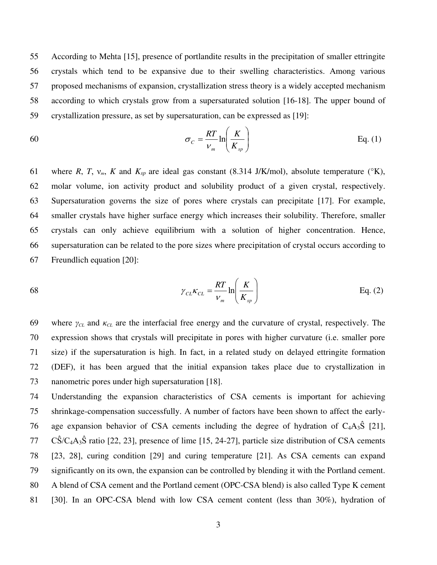55 According to Mehta [15], presence of portlandite results in the precipitation of smaller ettringite 56 crystals which tend to be expansive due to their swelling characteristics. Among various 57 proposed mechanisms of expansion, crystallization stress theory is a widely accepted mechanism 58 according to which crystals grow from a supersaturated solution [16-18]. The upper bound of 59 crystallization pressure, as set by supersaturation, can be expressed as [19]:

$$
\sigma_C = \frac{RT}{V_m} \ln \left( \frac{K}{K_{sp}} \right) \tag{1}
$$

61 where *R*, *T*,  $v_m$ , *K* and  $K_{sp}$  are ideal gas constant (8.314 J/K/mol), absolute temperature ( $\mathrm{K}$ ), 62 molar volume, ion activity product and solubility product of a given crystal, respectively. 63 Supersaturation governs the size of pores where crystals can precipitate [17]. For example, 64 smaller crystals have higher surface energy which increases their solubility. Therefore, smaller 65 crystals can only achieve equilibrium with a solution of higher concentration. Hence, 66 supersaturation can be related to the pore sizes where precipitation of crystal occurs according to 67 Freundlich equation [20]:

$$
\gamma_{CL} \kappa_{CL} = \frac{RT}{V_m} \ln \left( \frac{K}{K_{sp}} \right)
$$
 Eq. (2)

69 where  $\gamma_{CL}$  and  $\kappa_{CL}$  are the interfacial free energy and the curvature of crystal, respectively. The 70 expression shows that crystals will precipitate in pores with higher curvature (i.e. smaller pore 71 size) if the supersaturation is high. In fact, in a related study on delayed ettringite formation 72 (DEF), it has been argued that the initial expansion takes place due to crystallization in 73 nanometric pores under high supersaturation [18].

74 Understanding the expansion characteristics of CSA cements is important for achieving 75 shrinkage-compensation successfully. A number of factors have been shown to affect the early-76 age expansion behavior of CSA cements including the degree of hydration of  $C_4A_3\hat{S}$  [21],  $77 \text{ C}\hat{S}/C_4A_3\hat{S}$  ratio [22, 23], presence of lime [15, 24-27], particle size distribution of CSA cements 78 [23, 28], curing condition [29] and curing temperature [21]. As CSA cements can expand 79 significantly on its own, the expansion can be controlled by blending it with the Portland cement. 80 A blend of CSA cement and the Portland cement (OPC-CSA blend) is also called Type K cement 81 [30]. In an OPC-CSA blend with low CSA cement content (less than 30%), hydration of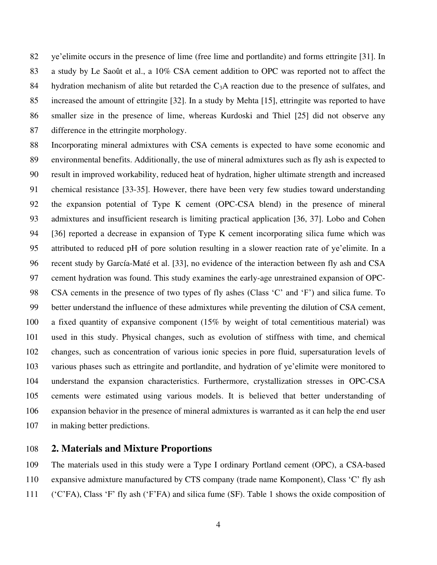82 ye'elimite occurs in the presence of lime (free lime and portlandite) and forms ettringite [31]. In 83 a study by Le Saoût et al., a 10% CSA cement addition to OPC was reported not to affect the 84 hydration mechanism of alite but retarded the  $C_3A$  reaction due to the presence of sulfates, and 85 increased the amount of ettringite [32]. In a study by Mehta [15], ettringite was reported to have 86 smaller size in the presence of lime, whereas Kurdoski and Thiel [25] did not observe any 87 difference in the ettringite morphology.

88 Incorporating mineral admixtures with CSA cements is expected to have some economic and 89 environmental benefits. Additionally, the use of mineral admixtures such as fly ash is expected to 90 result in improved workability, reduced heat of hydration, higher ultimate strength and increased 91 chemical resistance [33-35]. However, there have been very few studies toward understanding 92 the expansion potential of Type K cement (OPC-CSA blend) in the presence of mineral 93 admixtures and insufficient research is limiting practical application [36, 37]. Lobo and Cohen 94 [36] reported a decrease in expansion of Type K cement incorporating silica fume which was 95 attributed to reduced pH of pore solution resulting in a slower reaction rate of ye'elimite. In a 96 recent study by [García-Maté](http://www.sciencedirect.com/science/article/pii/S0008884613001713) et al. [33], no evidence of the interaction between fly ash and CSA 97 cement hydration was found. This study examines the early-age unrestrained expansion of OPC-98 CSA cements in the presence of two types of fly ashes (Class 'C' and 'F') and silica fume. To 99 better understand the influence of these admixtures while preventing the dilution of CSA cement, 100 a fixed quantity of expansive component (15% by weight of total cementitious material) was 101 used in this study. Physical changes, such as evolution of stiffness with time, and chemical 102 changes, such as concentration of various ionic species in pore fluid, supersaturation levels of 103 various phases such as ettringite and portlandite, and hydration of ye'elimite were monitored to 104 understand the expansion characteristics. Furthermore, crystallization stresses in OPC-CSA 105 cements were estimated using various models. It is believed that better understanding of 106 expansion behavior in the presence of mineral admixtures is warranted as it can help the end user 107 in making better predictions.

# 108 **2. Materials and Mixture Proportions**

109 The materials used in this study were a Type I ordinary Portland cement (OPC), a CSA-based 110 expansive admixture manufactured by CTS company (trade name Komponent), Class 'C' fly ash 111 (‗C'FA), Class ‗F' fly ash (‗F'FA) and silica fume (SF). Table 1 shows the oxide composition of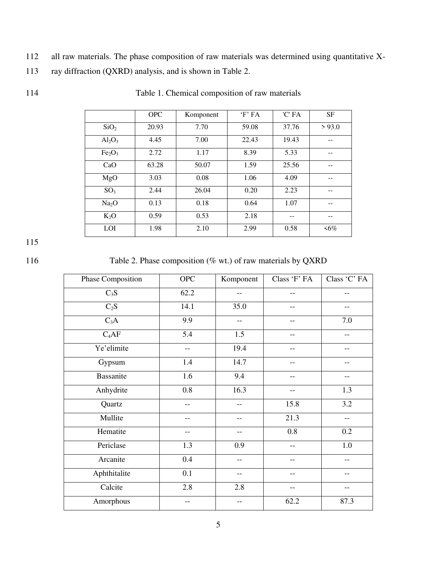112 all raw materials. The phase composition of raw materials was determined using quantitative X-

| 113 | ray diffraction (QXRD) analysis, and is shown in Table 2. |  |  |  |  |
|-----|-----------------------------------------------------------|--|--|--|--|
|-----|-----------------------------------------------------------|--|--|--|--|

|                                | <b>OPC</b> | Komponent | $F$ FA | 'C' FA | <b>SF</b> |
|--------------------------------|------------|-----------|--------|--------|-----------|
| SiO <sub>2</sub>               | 20.93      | 7.70      | 59.08  | 37.76  | > 93.0    |
| $Al_2O_3$                      | 4.45       | 7.00      | 22.43  | 19.43  |           |
| Fe <sub>2</sub> O <sub>3</sub> | 2.72       | 1.17      | 8.39   | 5.33   |           |
| CaO                            | 63.28      | 50.07     | 1.59   | 25.56  |           |
| MgO                            | 3.03       | 0.08      | 1.06   | 4.09   |           |
| SO <sub>3</sub>                | 2.44       | 26.04     | 0.20   | 2.23   |           |
| Na <sub>2</sub> O              | 0.13       | 0.18      | 0.64   | 1.07   |           |
| $K_2O$                         | 0.59       | 0.53      | 2.18   | --     |           |
| LOI                            | 1.98       | 2.10      | 2.99   | 0.58   | $<6\%$    |

114 Table 1. Chemical composition of raw materials

116 Table 2. Phase composition (% wt.) of raw materials by QXRD

| Phase Composition | <b>OPC</b> | Komponent | Class 'F' FA | Class 'C' FA |
|-------------------|------------|-----------|--------------|--------------|
| $C_3S$            | 62.2       | $-$       | --           | $-$          |
| $C_2S$            | 14.1       | 35.0      | --           | --           |
| $C_3A$            | 9.9        | --        | --           | 7.0          |
| $C_4AF$           | 5.4        | 1.5       | --           | --           |
| Ye'elimite        | $- -$      | 19.4      | --           | --           |
| Gypsum            | 1.4        | 14.7      | --           | --           |
| <b>Bassanite</b>  | 1.6        | 9.4       | --           | --           |
| Anhydrite         | 0.8        | 16.3      | --           | 1.3          |
| Quartz            |            | --        | 15.8         | 3.2          |
| Mullite           |            | --        | 21.3         | --           |
| Hematite          | $-$        | --        | 0.8          | 0.2          |
| Periclase         | 1.3        | 0.9       | --           | $1.0\,$      |
| Arcanite          | 0.4        | --        | $-$          | --           |
| Aphthitalite      | 0.1        | --        | --           |              |
| Calcite           | 2.8        | 2.8       | --           |              |
| Amorphous         |            | --        | 62.2         | 87.3         |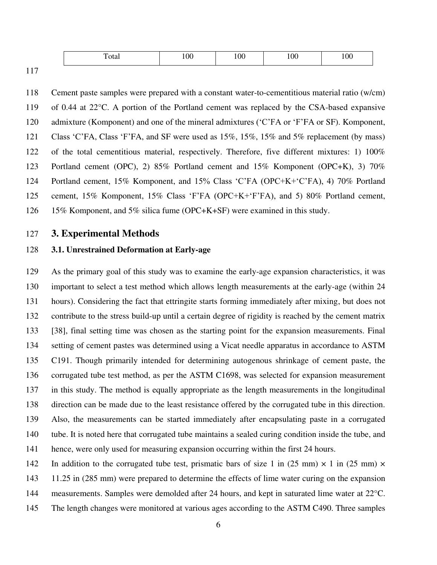| ౼<br>`otar | .UU | $\Omega$<br>.UU | . $\alpha$<br>ιw | 100 |
|------------|-----|-----------------|------------------|-----|
|            |     |                 |                  |     |

117

118 Cement paste samples were prepared with a constant water-to-cementitious material ratio (w/cm) 119 of 0.44 at 22°C. A portion of the Portland cement was replaced by the CSA-based expansive 120 admixture (Komponent) and one of the mineral admixtures ('C'FA or 'F'FA or SF). Komponent, 121 Class 'C'FA, Class 'F'FA, and SF were used as 15%, 15%, 15% and 5% replacement (by mass) 122 of the total cementitious material, respectively. Therefore, five different mixtures: 1) 100% 123 Portland cement (OPC), 2) 85% Portland cement and 15% Komponent (OPC+K), 3) 70% 124 Portland cement, 15% Komponent, and 15% Class ‗C'FA (OPC+K+‗C'FA), 4) 70% Portland 125 cement, 15% Komponent, 15% Class ‗F'FA (OPC+K+‗F'FA), and 5) 80% Portland cement, 126 15% Komponent, and 5% silica fume (OPC+K+SF) were examined in this study.

# 127 **3. Experimental Methods**

## 128 **3.1. Unrestrained Deformation at Early-age**

129 As the primary goal of this study was to examine the early-age expansion characteristics, it was 130 important to select a test method which allows length measurements at the early-age (within 24 131 hours). Considering the fact that ettringite starts forming immediately after mixing, but does not 132 contribute to the stress build-up until a certain degree of rigidity is reached by the cement matrix 133 [38], final setting time was chosen as the starting point for the expansion measurements. Final 134 setting of cement pastes was determined using a Vicat needle apparatus in accordance to ASTM 135 C191. Though primarily intended for determining autogenous shrinkage of cement paste, the 136 corrugated tube test method, as per the ASTM C1698, was selected for expansion measurement 137 in this study. The method is equally appropriate as the length measurements in the longitudinal 138 direction can be made due to the least resistance offered by the corrugated tube in this direction. 139 Also, the measurements can be started immediately after encapsulating paste in a corrugated 140 tube. It is noted here that corrugated tube maintains a sealed curing condition inside the tube, and 141 hence, were only used for measuring expansion occurring within the first 24 hours.

142 In addition to the corrugated tube test, prismatic bars of size 1 in (25 mm)  $\times$  1 in (25 mm)  $\times$ 143 11.25 in (285 mm) were prepared to determine the effects of lime water curing on the expansion 144 measurements. Samples were demolded after 24 hours, and kept in saturated lime water at 22°C. 145 The length changes were monitored at various ages according to the ASTM C490. Three samples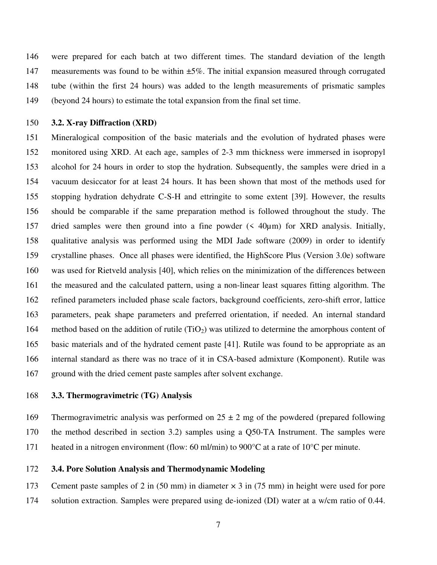146 were prepared for each batch at two different times. The standard deviation of the length 147 measurements was found to be within  $\pm 5\%$ . The initial expansion measured through corrugated 148 tube (within the first 24 hours) was added to the length measurements of prismatic samples 149 (beyond 24 hours) to estimate the total expansion from the final set time.

### 150 **3.2. X-ray Diffraction (XRD)**

151 Mineralogical composition of the basic materials and the evolution of hydrated phases were 152 monitored using XRD. At each age, samples of 2-3 mm thickness were immersed in isopropyl 153 alcohol for 24 hours in order to stop the hydration. Subsequently, the samples were dried in a 154 vacuum desiccator for at least 24 hours. It has been shown that most of the methods used for 155 stopping hydration dehydrate C-S-H and ettringite to some extent [39]. However, the results 156 should be comparable if the same preparation method is followed throughout the study. The 157 dried samples were then ground into a fine powder (< 40µm) for XRD analysis. Initially, 158 qualitative analysis was performed using the MDI Jade software (2009) in order to identify 159 crystalline phases. Once all phases were identified, the HighScore Plus (Version 3.0e) software 160 was used for Rietveld analysis [40], which relies on the minimization of the differences between 161 the measured and the calculated pattern, using a non-linear least squares fitting algorithm. The 162 refined parameters included phase scale factors, background coefficients, zero-shift error, lattice 163 parameters, peak shape parameters and preferred orientation, if needed. An internal standard 164 method based on the addition of rutile  $(TiO<sub>2</sub>)$  was utilized to determine the amorphous content of 165 basic materials and of the hydrated cement paste [41]. Rutile was found to be appropriate as an 166 internal standard as there was no trace of it in CSA-based admixture (Komponent). Rutile was 167 ground with the dried cement paste samples after solvent exchange.

#### 168 **3.3. Thermogravimetric (TG) Analysis**

169 Thermogravimetric analysis was performed on  $25 \pm 2$  mg of the powdered (prepared following 170 the method described in section 3.2) samples using a Q50-TA Instrument. The samples were 171 heated in a nitrogen environment (flow: 60 ml/min) to 900°C at a rate of 10°C per minute.

#### 172 **3.4. Pore Solution Analysis and Thermodynamic Modeling**

173 Cement paste samples of 2 in (50 mm) in diameter × 3 in (75 mm) in height were used for pore 174 solution extraction. Samples were prepared using de-ionized (DI) water at a w/cm ratio of 0.44.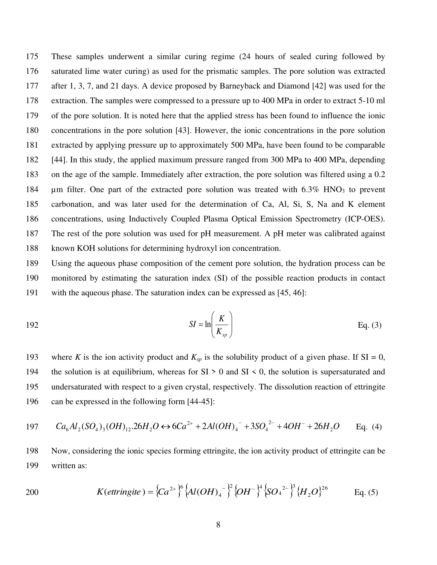175 These samples underwent a similar curing regime (24 hours of sealed curing followed by 176 saturated lime water curing) as used for the prismatic samples. The pore solution was extracted 177 after 1, 3, 7, and 21 days. A device proposed by Barneyback and Diamond [42] was used for the 178 extraction. The samples were compressed to a pressure up to 400 MPa in order to extract 5-10 ml 179 of the pore solution. It is noted here that the applied stress has been found to influence the ionic 180 concentrations in the pore solution [43]. However, the ionic concentrations in the pore solution 181 extracted by applying pressure up to approximately 500 MPa, have been found to be comparable 182 [44]. In this study, the applied maximum pressure ranged from 300 MPa to 400 MPa, depending 183 on the age of the sample. Immediately after extraction, the pore solution was filtered using a 0.2 184 um filter. One part of the extracted pore solution was treated with  $6.3\%$  HNO<sub>3</sub> to prevent 185 carbonation, and was later used for the determination of Ca, Al, Si, S, Na and K element 186 concentrations, using Inductively Coupled Plasma Optical Emission Spectrometry (ICP-OES). 187 The rest of the pore solution was used for pH measurement. A pH meter was calibrated against 188 known KOH solutions for determining hydroxyl ion concentration.

189 Using the aqueous phase composition of the cement pore solution, the hydration process can be 190 monitored by estimating the saturation index (SI) of the possible reaction products in contact 191 with the aqueous phase. The saturation index can be expressed as [45, 46]:

$$
SI = \ln\left(\frac{K}{K_{sp}}\right) \tag{3}
$$

193 where *K* is the ion activity product and  $K_{sp}$  is the solubility product of a given phase. If SI = 0, 194 the solution is at equilibrium, whereas for  $SI > 0$  and  $SI < 0$ , the solution is supersaturated and 195 undersaturated with respect to a given crystal, respectively. The dissolution reaction of ettringite 196 can be expressed in the following form [44-45]:

$$
197 \qquad Ca_6Al_2(SO_4)_3(OH)_{12}.26H_2O \leftrightarrow 6Ca^{2+} + 2Al(OH)_4^- + 3SO_4^{2-} + 4OH^- + 26H_2O \qquad \text{Eq. (4)}
$$

198 Now, considering the ionic species forming ettringite, the ion activity product of ettringite can be 199 written as:

200 
$$
K(extringite) = \left\{Ca^{2+}\right\}^{6} \left\{Al(OH)_{4}^{-}\right\}^{2} \left\{OH^{-}\right\}^{4} \left\{SO_{4}^{-2-}\right\}^{3} \left\{H_{2}O\right\}^{26} \qquad \text{Eq. (5)}
$$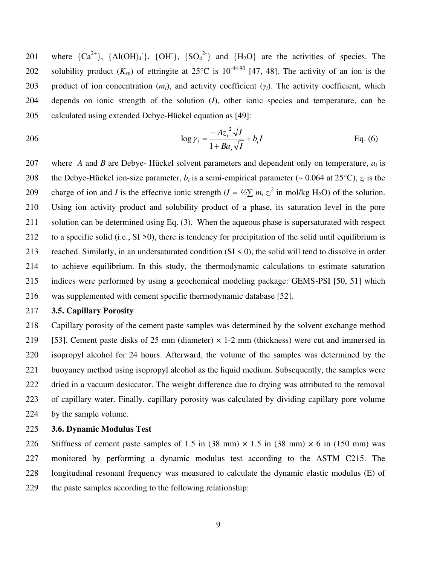201 where  ${Ca<sup>2+</sup>}$ ,  ${Al(OH)<sub>4</sub>}$ ,  ${OH}$ ,  ${SO<sub>4</sub><sup>2-</sup>}$  and  ${H<sub>2</sub>O}$  are the activities of species. The 202 solubility product  $(K_{\text{on}})$  of ettringite at 25<sup>o</sup>C is 10<sup>-44.90</sup> [47, 48]. The activity of an ion is the 203 product of ion concentration  $(m_i)$ , and activity coefficient  $(\gamma_i)$ . The activity coefficient, which 204 depends on ionic strength of the solution (*I*), other ionic species and temperature, can be 205 calculated using extended Debye-Hückel equation as [49]:

206 
$$
\log \gamma_i = \frac{-Az_i^2 \sqrt{I}}{1 + Ba_i \sqrt{I}} + b_i I
$$
 Eq. (6)

207 where *A* and *B* are Debye- Hückel solvent parameters and dependent only on temperature, *a<sup>i</sup>* is 208 the Debye-Hückel ion-size parameter,  $b_i$  is a semi-empirical parameter (~ 0.064 at 25<sup>o</sup>C),  $z_i$  is the charge of ion and *I* is the effective ionic strength ( $I = \frac{1}{2}\sum m_i z_i^2$  in mol/kg H<sub>2</sub>O) of the solution. 210 Using ion activity product and solubility product of a phase, its saturation level in the pore 211 solution can be determined using Eq. (3). When the aqueous phase is supersaturated with respect 212 to a specific solid (i.e.,  $SI > 0$ ), there is tendency for precipitation of the solid until equilibrium is 213 reached. Similarly, in an undersaturated condition  $(SI \le 0)$ , the solid will tend to dissolve in order 214 to achieve equilibrium. In this study, the thermodynamic calculations to estimate saturation 215 indices were performed by using a geochemical modeling package: GEMS-PSI [50, 51] which 216 was supplemented with cement specific thermodynamic database [52].

# 217 **3.5. Capillary Porosity**

218 Capillary porosity of the cement paste samples was determined by the solvent exchange method 219 [53]. Cement paste disks of 25 mm (diameter)  $\times$  1-2 mm (thickness) were cut and immersed in 220 isopropyl alcohol for 24 hours. Afterward, the volume of the samples was determined by the 221 buoyancy method using isopropyl alcohol as the liquid medium. Subsequently, the samples were 222 dried in a vacuum desiccator. The weight difference due to drying was attributed to the removal 223 of capillary water. Finally, capillary porosity was calculated by dividing capillary pore volume 224 by the sample volume.

## 225 **3.6. Dynamic Modulus Test**

226 Stiffness of cement paste samples of 1.5 in  $(38 \text{ mm}) \times 1.5$  in  $(38 \text{ mm}) \times 6$  in  $(150 \text{ mm})$  was 227 monitored by performing a dynamic modulus test according to the ASTM C215. The 228 longitudinal resonant frequency was measured to calculate the dynamic elastic modulus (E) of 229 the paste samples according to the following relationship: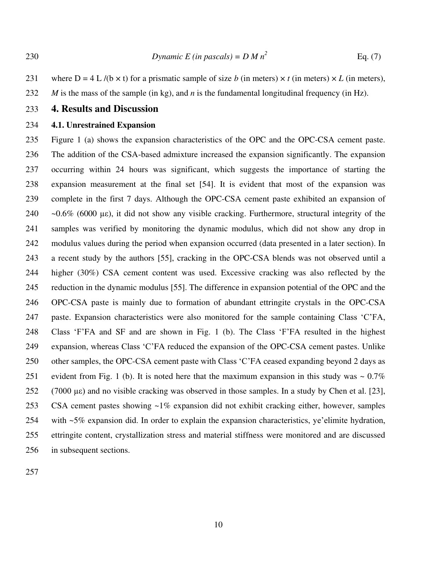231 where  $D = 4 L / (b \times t)$  for a prismatic sample of size *b* (in meters)  $\times t$  (in meters)  $\times L$  (in meters), 232 *M* is the mass of the sample (in kg), and *n* is the fundamental longitudinal frequency (in Hz).

#### 233 **4. Results and Discussion**

#### 234 **4.1. Unrestrained Expansion**

235 Figure 1 (a) shows the expansion characteristics of the OPC and the OPC-CSA cement paste. 236 The addition of the CSA-based admixture increased the expansion significantly. The expansion 237 occurring within 24 hours was significant, which suggests the importance of starting the 238 expansion measurement at the final set [54]. It is evident that most of the expansion was 239 complete in the first 7 days. Although the OPC-CSA cement paste exhibited an expansion of 240  $\sim 0.6\%$  (6000 µε), it did not show any visible cracking. Furthermore, structural integrity of the 241 samples was verified by monitoring the dynamic modulus, which did not show any drop in 242 modulus values during the period when expansion occurred (data presented in a later section). In 243 a recent study by the authors [55], cracking in the OPC-CSA blends was not observed until a 244 higher (30%) CSA cement content was used. Excessive cracking was also reflected by the 245 reduction in the dynamic modulus [55]. The difference in expansion potential of the OPC and the 246 OPC-CSA paste is mainly due to formation of abundant ettringite crystals in the OPC-CSA 247 paste. Expansion characteristics were also monitored for the sample containing Class 'C'FA, 248 Class 'F'FA and SF and are shown in Fig. 1 (b). The Class 'F'FA resulted in the highest 249 expansion, whereas Class ‗C'FA reduced the expansion of the OPC-CSA cement pastes. Unlike 250 other samples, the OPC-CSA cement paste with Class 'C'FA ceased expanding beyond 2 days as 251 evident from Fig. 1 (b). It is noted here that the maximum expansion in this study was  $\sim 0.7\%$ 252 (7000 µε) and no visible cracking was observed in those samples. In a study by Chen et al. [23], 253 CSA cement pastes showing ~1% expansion did not exhibit cracking either, however, samples 254 with ~5% expansion did. In order to explain the expansion characteristics, ye'elimite hydration, 255 ettringite content, crystallization stress and material stiffness were monitored and are discussed 256 in subsequent sections.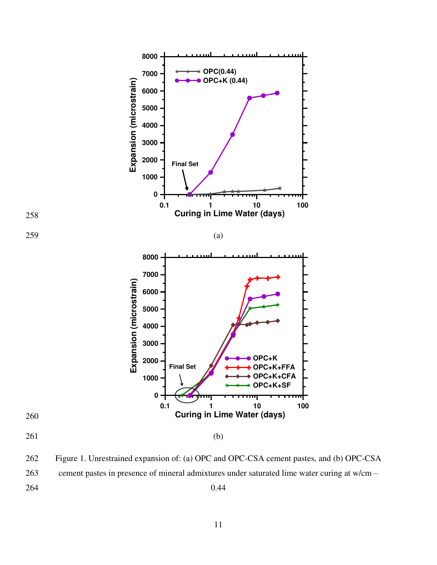

262 Figure 1. Unrestrained expansion of: (a) OPC and OPC-CSA cement pastes, and (b) OPC-CSA 263 cement pastes in presence of mineral admixtures under saturated lime water curing at w/cm –

264 0.44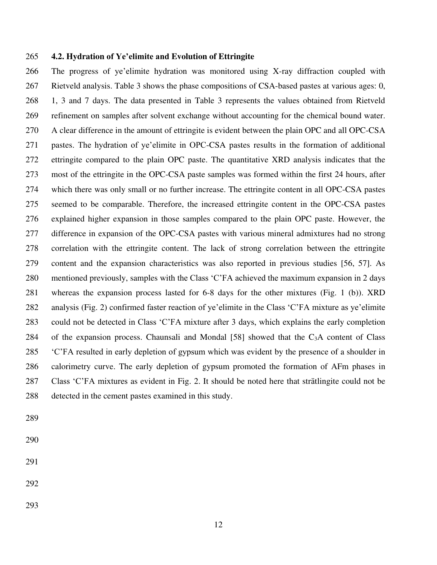#### 265 **4.2. Hydration of Ye'elimite and Evolution of Ettringite**

266 The progress of ye'elimite hydration was monitored using X-ray diffraction coupled with 267 Rietveld analysis. Table 3 shows the phase compositions of CSA-based pastes at various ages: 0, 268 1, 3 and 7 days. The data presented in Table 3 represents the values obtained from Rietveld 269 refinement on samples after solvent exchange without accounting for the chemical bound water. 270 A clear difference in the amount of ettringite is evident between the plain OPC and all OPC-CSA 271 pastes. The hydration of ye'elimite in OPC-CSA pastes results in the formation of additional 272 ettringite compared to the plain OPC paste. The quantitative XRD analysis indicates that the 273 most of the ettringite in the OPC-CSA paste samples was formed within the first 24 hours, after 274 which there was only small or no further increase. The ettringite content in all OPC-CSA pastes 275 seemed to be comparable. Therefore, the increased ettringite content in the OPC-CSA pastes 276 explained higher expansion in those samples compared to the plain OPC paste. However, the 277 difference in expansion of the OPC-CSA pastes with various mineral admixtures had no strong 278 correlation with the ettringite content. The lack of strong correlation between the ettringite 279 content and the expansion characteristics was also reported in previous studies [56, 57]. As 280 mentioned previously, samples with the Class 'C'FA achieved the maximum expansion in 2 days 281 whereas the expansion process lasted for 6-8 days for the other mixtures (Fig. 1 (b)). XRD 282 analysis (Fig. 2) confirmed faster reaction of ye'elimite in the Class ‗C'FA mixture as ye'elimite 283 could not be detected in Class 'C'FA mixture after 3 days, which explains the early completion 284 of the expansion process. Chaunsali and Mondal [58] showed that the  $C_3A$  content of Class 285 ‗C'FA resulted in early depletion of gypsum which was evident by the presence of a shoulder in 286 calorimetry curve. The early depletion of gypsum promoted the formation of AFm phases in 287 Class 'C'FA mixtures as evident in Fig. 2. It should be noted here that strätlingite could not be 288 detected in the cement pastes examined in this study.

- 289
- 290
- 291
- 292
- 293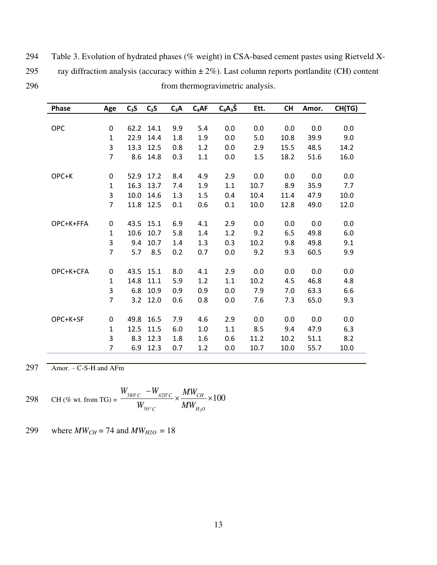| 294 | Table 3. Evolution of hydrated phases (% weight) in CSA-based cement pastes using Rietveld X-       |
|-----|-----------------------------------------------------------------------------------------------------|
| 295 | ray diffraction analysis (accuracy within $\pm 2\%$ ). Last column reports portlandite (CH) content |
| 296 | from thermogravimetric analysis.                                                                    |

|                                 |                |     | Ett. | <b>CH</b> | Amor. | CH(TG) |
|---------------------------------|----------------|-----|------|-----------|-------|--------|
|                                 |                |     |      |           |       |        |
| <b>OPC</b><br>62.2<br>0<br>14.1 | 9.9<br>5.4     | 0.0 | 0.0  | 0.0       | 0.0   | 0.0    |
| 22.9<br>$\mathbf{1}$<br>14.4    | 1.8<br>1.9     | 0.0 | 5.0  | 10.8      | 39.9  | 9.0    |
| 3<br>13.3<br>12.5               | $1.2\,$<br>0.8 | 0.0 | 2.9  | 15.5      | 48.5  | 14.2   |
| $\overline{7}$<br>8.6<br>14.8   | 0.3<br>$1.1\,$ | 0.0 | 1.5  | 18.2      | 51.6  | 16.0   |
| OPC+K<br>52.9<br>0<br>17.2      | 8.4<br>4.9     | 2.9 | 0.0  | 0.0       | 0.0   | 0.0    |
| $\mathbf{1}$<br>16.3<br>13.7    | 1.9<br>7.4     | 1.1 | 10.7 | 8.9       | 35.9  | 7.7    |
| 3<br>10.0<br>14.6               | 1.3<br>1.5     | 0.4 | 10.4 | 11.4      | 47.9  | 10.0   |
| $\overline{7}$<br>12.5<br>11.8  | 0.6<br>0.1     | 0.1 | 10.0 | 12.8      | 49.0  | 12.0   |
|                                 |                |     |      |           |       |        |
| OPC+K+FFA<br>43.5<br>15.1<br>0  | 6.9<br>4.1     | 2.9 | 0.0  | 0.0       | 0.0   | 0.0    |
| $\mathbf{1}$<br>10.6<br>10.7    | 5.8<br>1.4     | 1.2 | 9.2  | 6.5       | 49.8  | 6.0    |
| 3<br>10.7<br>9.4                | 1.4<br>1.3     | 0.3 | 10.2 | 9.8       | 49.8  | 9.1    |
| $\overline{7}$<br>5.7<br>8.5    | 0.2<br>0.7     | 0.0 | 9.2  | 9.3       | 60.5  | 9.9    |
|                                 |                |     |      |           |       |        |
| OPC+K+CFA<br>43.5<br>15.1<br>0  | 8.0<br>4.1     | 2.9 | 0.0  | 0.0       | 0.0   | 0.0    |
| $\mathbf{1}$<br>14.8<br>11.1    | 5.9<br>1.2     | 1.1 | 10.2 | 4.5       | 46.8  | 4.8    |
| 3<br>6.8<br>10.9                | 0.9<br>0.9     | 0.0 | 7.9  | 7.0       | 63.3  | 6.6    |
| $\overline{7}$<br>3.2 12.0      | 0.6<br>0.8     | 0.0 | 7.6  | 7.3       | 65.0  | 9.3    |
| OPC+K+SF<br>0<br>49.8<br>16.5   | 7.9<br>4.6     | 2.9 | 0.0  | 0.0       | 0.0   | 0.0    |
| $\mathbf{1}$<br>12.5<br>11.5    | 6.0<br>1.0     | 1.1 | 8.5  | 9.4       | 47.9  | 6.3    |
| 3<br>12.3<br>8.3                | 1.8<br>1.6     | 0.6 | 11.2 | 10.2      | 51.1  | 8.2    |
| $\overline{7}$<br>12.3<br>6.9   | 0.7<br>1.2     | 0.0 | 10.7 | 10.0      | 55.7  | 10.0   |

 $297$  Amor. – C-S-H and AFm

298 CH (*%* wt. from TG) = 
$$
\frac{W_{380^{\circ}C} - W_{420^{\circ}C}}{W_{30^{\circ}C}} \times \frac{MW_{CH}}{MW_{H_{2}O}} \times 100
$$

299 where  $MW_{CH} = 74$  and  $MW_{H2O} = 18$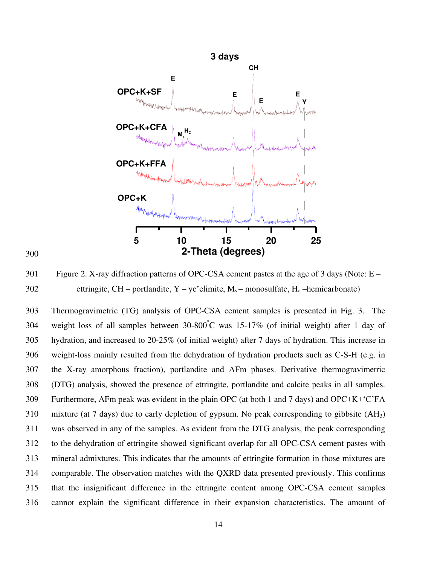

300

301 Figure 2. X-ray diffraction patterns of OPC-CSA cement pastes at the age of 3 days (Note: E – 302 ettringite, CH – portlandite,  $Y - ye$ 'elimite,  $M_s$  – monosulfate,  $H_c$  –hemicarbonate)

303 Thermogravimetric (TG) analysis of OPC-CSA cement samples is presented in Fig. 3. The 304 weight loss of all samples between  $30-800^{\circ}$ C was 15-17% (of initial weight) after 1 day of 305 hydration, and increased to 20-25% (of initial weight) after 7 days of hydration. This increase in 306 weight-loss mainly resulted from the dehydration of hydration products such as C-S-H (e.g. in 307 the X-ray amorphous fraction), portlandite and AFm phases. Derivative thermogravimetric 308 (DTG) analysis, showed the presence of ettringite, portlandite and calcite peaks in all samples. 309 Furthermore, AFm peak was evident in the plain OPC (at both 1 and 7 days) and OPC+K+‗C'FA 310 mixture (at 7 days) due to early depletion of gypsum. No peak corresponding to gibbsite (AH3) 311 was observed in any of the samples. As evident from the DTG analysis, the peak corresponding 312 to the dehydration of ettringite showed significant overlap for all OPC-CSA cement pastes with 313 mineral admixtures. This indicates that the amounts of ettringite formation in those mixtures are 314 comparable. The observation matches with the QXRD data presented previously. This confirms 315 that the insignificant difference in the ettringite content among OPC-CSA cement samples 316 cannot explain the significant difference in their expansion characteristics. The amount of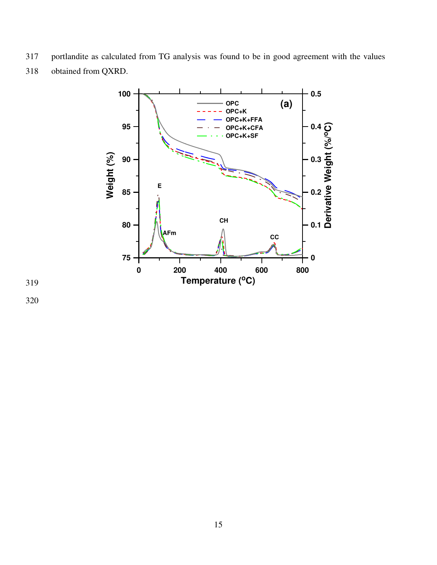- 317 portlandite as calculated from TG analysis was found to be in good agreement with the values
- 318 obtained from QXRD.



319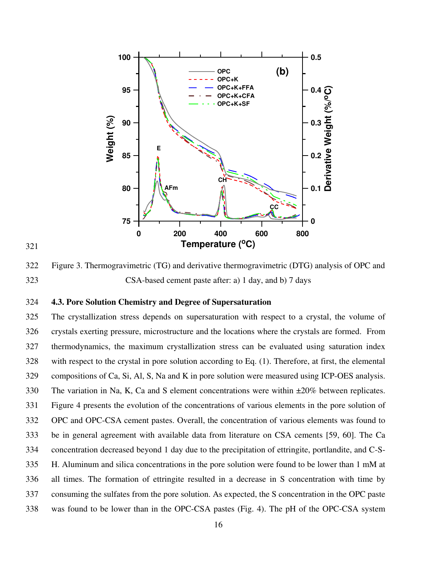



322 Figure 3. Thermogravimetric (TG) and derivative thermogravimetric (DTG) analysis of OPC and 323 CSA-based cement paste after: a) 1 day, and b) 7 days

## 324 **4.3. Pore Solution Chemistry and Degree of Supersaturation**

325 The crystallization stress depends on supersaturation with respect to a crystal, the volume of 326 crystals exerting pressure, microstructure and the locations where the crystals are formed. From 327 thermodynamics, the maximum crystallization stress can be evaluated using saturation index 328 with respect to the crystal in pore solution according to Eq. (1). Therefore, at first, the elemental 329 compositions of Ca, Si, Al, S, Na and K in pore solution were measured using ICP-OES analysis. 330 The variation in Na, K, Ca and S element concentrations were within ±20% between replicates. 331 Figure 4 presents the evolution of the concentrations of various elements in the pore solution of 332 OPC and OPC-CSA cement pastes. Overall, the concentration of various elements was found to 333 be in general agreement with available data from literature on CSA cements [59, 60]. The Ca 334 concentration decreased beyond 1 day due to the precipitation of ettringite, portlandite, and C-S-335 H. Aluminum and silica concentrations in the pore solution were found to be lower than 1 mM at 336 all times. The formation of ettringite resulted in a decrease in S concentration with time by 337 consuming the sulfates from the pore solution. As expected, the S concentration in the OPC paste 338 was found to be lower than in the OPC-CSA pastes (Fig. 4). The pH of the OPC-CSA system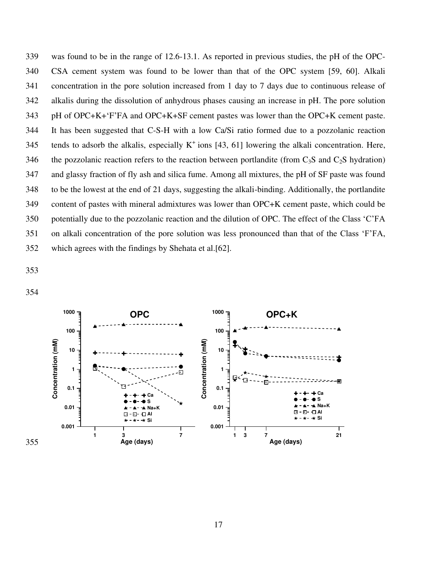339 was found to be in the range of 12.6-13.1. As reported in previous studies, the pH of the OPC-340 CSA cement system was found to be lower than that of the OPC system [59, 60]. Alkali 341 concentration in the pore solution increased from 1 day to 7 days due to continuous release of 342 alkalis during the dissolution of anhydrous phases causing an increase in pH. The pore solution 343 pH of OPC+K+‗F'FA and OPC+K+SF cement pastes was lower than the OPC+K cement paste. 344 It has been suggested that C-S-H with a low Ca/Si ratio formed due to a pozzolanic reaction 345 tends to adsorb the alkalis, especially  $K^+$  ions [43, 61] lowering the alkali concentration. Here, 346 the pozzolanic reaction refers to the reaction between portlandite (from  $C_3S$  and  $C_2S$  hydration) 347 and glassy fraction of fly ash and silica fume. Among all mixtures, the pH of SF paste was found 348 to be the lowest at the end of 21 days, suggesting the alkali-binding. Additionally, the portlandite 349 content of pastes with mineral admixtures was lower than OPC+K cement paste, which could be 350 potentially due to the pozzolanic reaction and the dilution of OPC. The effect of the Class 'C'FA 351 on alkali concentration of the pore solution was less pronounced than that of the Class 'F'FA, 352 which agrees with the findings by Shehata et al.[62].

353

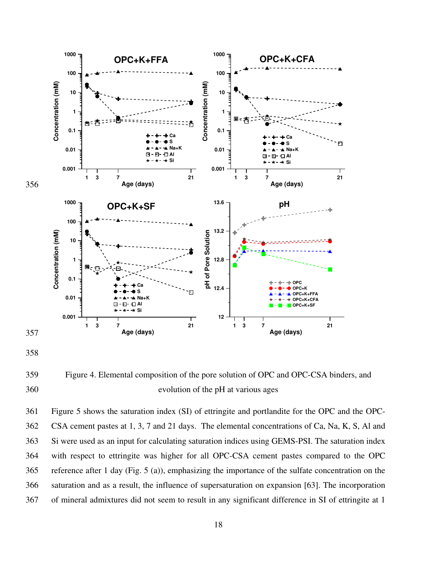

359 Figure 4. Elemental composition of the pore solution of OPC and OPC-CSA binders, and 360 evolution of the pH at various ages

361 Figure 5 shows the saturation index (SI) of ettringite and portlandite for the OPC and the OPC-362 CSA cement pastes at 1, 3, 7 and 21 days. The elemental concentrations of Ca, Na, K, S, Al and 363 Si were used as an input for calculating saturation indices using GEMS-PSI. The saturation index 364 with respect to ettringite was higher for all OPC-CSA cement pastes compared to the OPC 365 reference after 1 day (Fig. 5 (a)), emphasizing the importance of the sulfate concentration on the 366 saturation and as a result, the influence of supersaturation on expansion [63]. The incorporation 367 of mineral admixtures did not seem to result in any significant difference in SI of ettringite at 1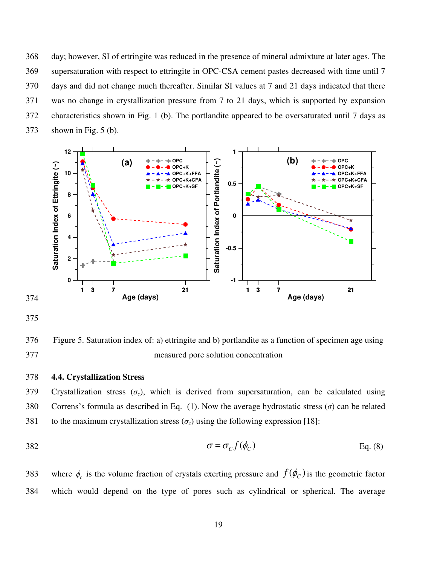368 day; however, SI of ettringite was reduced in the presence of mineral admixture at later ages. The 369 supersaturation with respect to ettringite in OPC-CSA cement pastes decreased with time until 7 370 days and did not change much thereafter. Similar SI values at 7 and 21 days indicated that there 371 was no change in crystallization pressure from 7 to 21 days, which is supported by expansion 372 characteristics shown in Fig. 1 (b). The portlandite appeared to be oversaturated until 7 days as 373 shown in Fig. 5 (b).



375

376 Figure 5. Saturation index of: a) ettringite and b) portlandite as a function of specimen age using 377 measured pore solution concentration

## 378 **4.4. Crystallization Stress**

379 Crystallization stress  $(\sigma_c)$ , which is derived from supersaturation, can be calculated using 380 Correns's formula as described in Eq. (1). Now the average hydrostatic stress (*σ*) can be related 381 to the maximum crystallization stress  $(\sigma_c)$  using the following expression [18]:

$$
\sigma = \sigma_c f(\phi_c) \tag{8}
$$

383 where  $\phi_c$  is the volume fraction of crystals exerting pressure and  $f(\phi_c)$  is the geometric factor 384 which would depend on the type of pores such as cylindrical or spherical. The average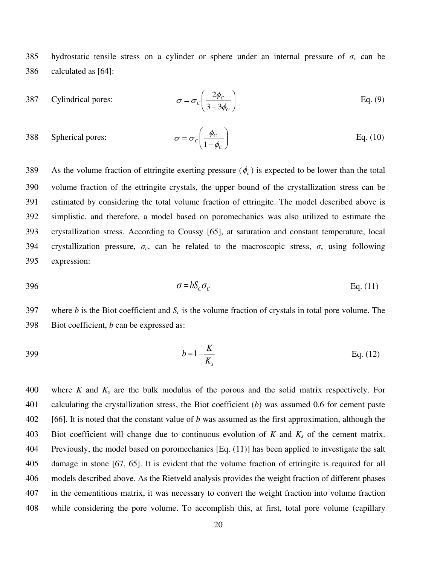385 hydrostatic tensile stress on a cylinder or sphere under an internal pressure of  $\sigma_c$  can be 386 calculated as [64]:

387 Cylindrical pores: 
$$
\sigma = \sigma_c \left( \frac{2\phi_c}{3 - 3\phi_c} \right)
$$
 Eq. (9)

388 Spherical pores: 
$$
\sigma = \sigma_c \left( \frac{\phi_c}{1 - \phi_c} \right)
$$
 Eq. (10)

389 As the volume fraction of ettringite exerting pressure  $(\phi_c)$  is expected to be lower than the total 390 volume fraction of the ettringite crystals, the upper bound of the crystallization stress can be 391 estimated by considering the total volume fraction of ettringite. The model described above is 392 simplistic, and therefore, a model based on poromechanics was also utilized to estimate the 393 crystallization stress. According to Coussy [65], at saturation and constant temperature, local 394 crystallization pressure, *σc*, can be related to the macroscopic stress, *σ*, using following 395 expression:

$$
\sigma = bS_c \sigma_c \qquad \qquad \text{Eq. (11)}
$$

397 where *b* is the Biot coefficient and *Sc* is the volume fraction of crystals in total pore volume. The 398 Biot coefficient, *b* can be expressed as:

$$
b = 1 - \frac{K}{K_s}
$$
 Eq. (12)

400 where *K* and *Ks* are the bulk modulus of the porous and the solid matrix respectively. For 401 calculating the crystallization stress, the Biot coefficient (*b*) was assumed 0.6 for cement paste 402 [66]. It is noted that the constant value of *b* was assumed as the first approximation, although the 403 Biot coefficient will change due to continuous evolution of *K* and *Ks* of the cement matrix. 404 Previously, the model based on poromechanics [Eq. (11)] has been applied to investigate the salt 405 damage in stone [67, 65]. It is evident that the volume fraction of ettringite is required for all 406 models described above. As the Rietveld analysis provides the weight fraction of different phases 407 in the cementitious matrix, it was necessary to convert the weight fraction into volume fraction 408 while considering the pore volume. To accomplish this, at first, total pore volume (capillary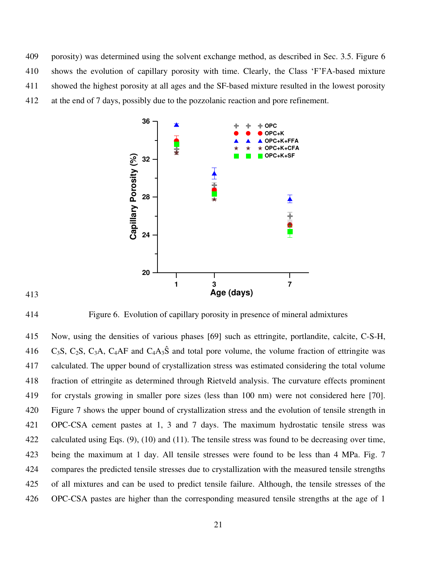409 porosity) was determined using the solvent exchange method, as described in Sec. 3.5. Figure 6 410 shows the evolution of capillary porosity with time. Clearly, the Class 'F'FA-based mixture 411 showed the highest porosity at all ages and the SF-based mixture resulted in the lowest porosity 412 at the end of 7 days, possibly due to the pozzolanic reaction and pore refinement.





414 Figure 6. Evolution of capillary porosity in presence of mineral admixtures

415 Now, using the densities of various phases [69] such as ettringite, portlandite, calcite, C-S-H, 416 C<sub>3</sub>S, C<sub>2</sub>S, C<sub>3</sub>A, C<sub>4</sub>AF and C<sub>4</sub>A<sub>3</sub>Ŝ and total pore volume, the volume fraction of ettringite was 417 calculated. The upper bound of crystallization stress was estimated considering the total volume 418 fraction of ettringite as determined through Rietveld analysis. The curvature effects prominent 419 for crystals growing in smaller pore sizes (less than 100 nm) were not considered here [70]. 420 Figure 7 shows the upper bound of crystallization stress and the evolution of tensile strength in 421 OPC-CSA cement pastes at 1, 3 and 7 days. The maximum hydrostatic tensile stress was 422 calculated using Eqs. (9), (10) and (11). The tensile stress was found to be decreasing over time, 423 being the maximum at 1 day. All tensile stresses were found to be less than 4 MPa. Fig. 7 424 compares the predicted tensile stresses due to crystallization with the measured tensile strengths 425 of all mixtures and can be used to predict tensile failure. Although, the tensile stresses of the 426 OPC-CSA pastes are higher than the corresponding measured tensile strengths at the age of 1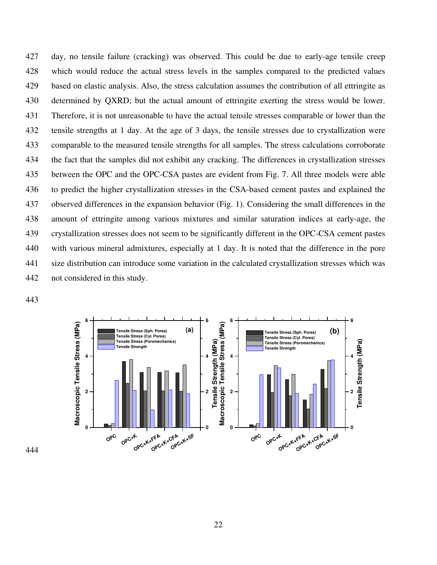427 day, no tensile failure (cracking) was observed. This could be due to early-age tensile creep 428 which would reduce the actual stress levels in the samples compared to the predicted values 429 based on elastic analysis. Also, the stress calculation assumes the contribution of all ettringite as 430 determined by QXRD; but the actual amount of ettringite exerting the stress would be lower. 431 Therefore, it is not unreasonable to have the actual tensile stresses comparable or lower than the 432 tensile strengths at 1 day. At the age of 3 days, the tensile stresses due to crystallization were 433 comparable to the measured tensile strengths for all samples. The stress calculations corroborate 434 the fact that the samples did not exhibit any cracking. The differences in crystallization stresses 435 between the OPC and the OPC-CSA pastes are evident from Fig. 7. All three models were able 436 to predict the higher crystallization stresses in the CSA-based cement pastes and explained the 437 observed differences in the expansion behavior (Fig. 1). Considering the small differences in the 438 amount of ettringite among various mixtures and similar saturation indices at early-age, the 439 crystallization stresses does not seem to be significantly different in the OPC-CSA cement pastes 440 with various mineral admixtures, especially at 1 day. It is noted that the difference in the pore 441 size distribution can introduce some variation in the calculated crystallization stresses which was 442 not considered in this study.

443

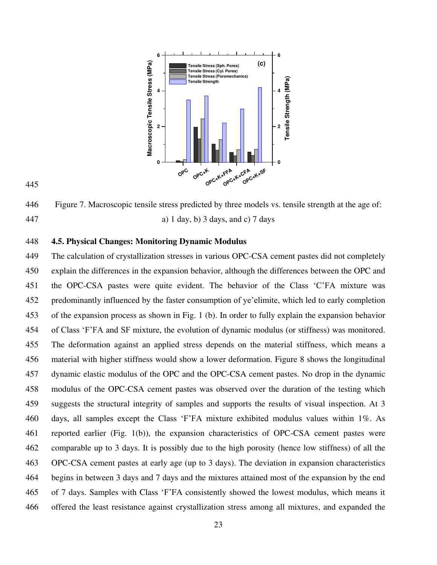

445

446 Figure 7. Macroscopic tensile stress predicted by three models vs. tensile strength at the age of: 447 a) 1 day, b) 3 days, and c) 7 days

#### 448 **4.5. Physical Changes: Monitoring Dynamic Modulus**

449 The calculation of crystallization stresses in various OPC-CSA cement pastes did not completely 450 explain the differences in the expansion behavior, although the differences between the OPC and 451 the OPC-CSA pastes were quite evident. The behavior of the Class 'C'FA mixture was 452 predominantly influenced by the faster consumption of ye'elimite, which led to early completion 453 of the expansion process as shown in Fig. 1 (b). In order to fully explain the expansion behavior 454 of Class ‗F'FA and SF mixture, the evolution of dynamic modulus (or stiffness) was monitored. 455 The deformation against an applied stress depends on the material stiffness, which means a 456 material with higher stiffness would show a lower deformation. Figure 8 shows the longitudinal 457 dynamic elastic modulus of the OPC and the OPC-CSA cement pastes. No drop in the dynamic 458 modulus of the OPC-CSA cement pastes was observed over the duration of the testing which 459 suggests the structural integrity of samples and supports the results of visual inspection. At 3 460 days, all samples except the Class ‗F'FA mixture exhibited modulus values within 1%. As 461 reported earlier (Fig. 1(b)), the expansion characteristics of OPC-CSA cement pastes were 462 comparable up to 3 days. It is possibly due to the high porosity (hence low stiffness) of all the 463 OPC-CSA cement pastes at early age (up to 3 days). The deviation in expansion characteristics 464 begins in between 3 days and 7 days and the mixtures attained most of the expansion by the end 465 of 7 days. Samples with Class ‗F'FA consistently showed the lowest modulus, which means it 466 offered the least resistance against crystallization stress among all mixtures, and expanded the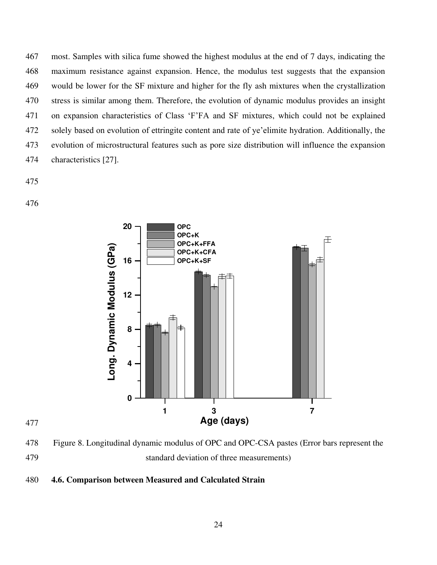467 most. Samples with silica fume showed the highest modulus at the end of 7 days, indicating the 468 maximum resistance against expansion. Hence, the modulus test suggests that the expansion 469 would be lower for the SF mixture and higher for the fly ash mixtures when the crystallization 470 stress is similar among them. Therefore, the evolution of dynamic modulus provides an insight 471 on expansion characteristics of Class ‗F'FA and SF mixtures, which could not be explained 472 solely based on evolution of ettringite content and rate of ye'elimite hydration. Additionally, the 473 evolution of microstructural features such as pore size distribution will influence the expansion 474 characteristics [27].

475

476



478 Figure 8. Longitudinal dynamic modulus of OPC and OPC-CSA pastes (Error bars represent the 479 standard deviation of three measurements)

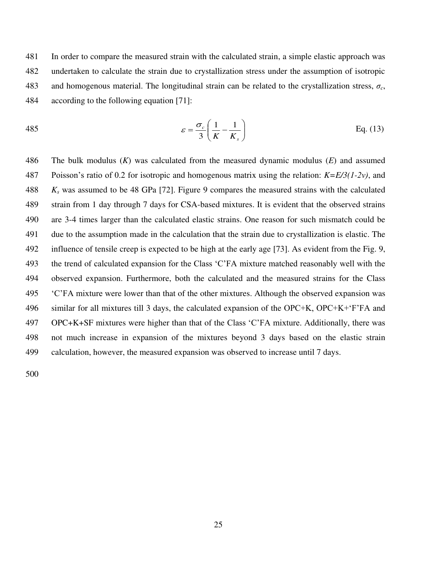481 In order to compare the measured strain with the calculated strain, a simple elastic approach was 482 undertaken to calculate the strain due to crystallization stress under the assumption of isotropic 483 and homogenous material. The longitudinal strain can be related to the crystallization stress,  $\sigma_c$ , 484 according to the following equation [71]:

485 
$$
\varepsilon = \frac{\sigma_c}{3} \left( \frac{1}{K} - \frac{1}{K_s} \right)
$$
 Eq. (13)

486 The bulk modulus (*K*) was calculated from the measured dynamic modulus (*E*) and assumed 487 Poisson's ratio of 0.2 for isotropic and homogenous matrix using the relation: *K=E/3(1-2ν)*, and 488 *Ks* was assumed to be 48 GPa [72]. Figure 9 compares the measured strains with the calculated 489 strain from 1 day through 7 days for CSA-based mixtures. It is evident that the observed strains 490 are 3-4 times larger than the calculated elastic strains. One reason for such mismatch could be 491 due to the assumption made in the calculation that the strain due to crystallization is elastic. The 492 influence of tensile creep is expected to be high at the early age [73]. As evident from the Fig. 9, 493 the trend of calculated expansion for the Class 'C'FA mixture matched reasonably well with the 494 observed expansion. Furthermore, both the calculated and the measured strains for the Class 495 ‗C'FA mixture were lower than that of the other mixtures. Although the observed expansion was 496 similar for all mixtures till 3 days, the calculated expansion of the OPC+K, OPC+K+‗F'FA and 497 OPC+K+SF mixtures were higher than that of the Class ‗C'FA mixture. Additionally, there was 498 not much increase in expansion of the mixtures beyond 3 days based on the elastic strain 499 calculation, however, the measured expansion was observed to increase until 7 days.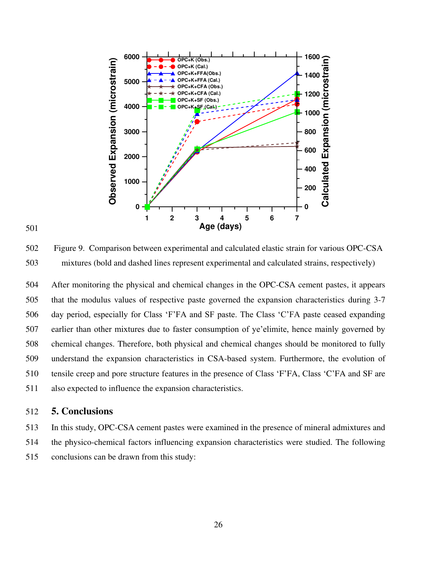

#### 501

502 Figure 9. Comparison between experimental and calculated elastic strain for various OPC-CSA 503 mixtures (bold and dashed lines represent experimental and calculated strains, respectively)

504 After monitoring the physical and chemical changes in the OPC-CSA cement pastes, it appears 505 that the modulus values of respective paste governed the expansion characteristics during 3-7 506 day period, especially for Class ‗F'FA and SF paste. The Class ‗C'FA paste ceased expanding 507 earlier than other mixtures due to faster consumption of ye'elimite, hence mainly governed by 508 chemical changes. Therefore, both physical and chemical changes should be monitored to fully 509 understand the expansion characteristics in CSA-based system. Furthermore, the evolution of 510 tensile creep and pore structure features in the presence of Class 'F'FA, Class 'C'FA and SF are 511 also expected to influence the expansion characteristics.

# 512 **5. Conclusions**

513 In this study, OPC-CSA cement pastes were examined in the presence of mineral admixtures and 514 the physico-chemical factors influencing expansion characteristics were studied. The following 515 conclusions can be drawn from this study: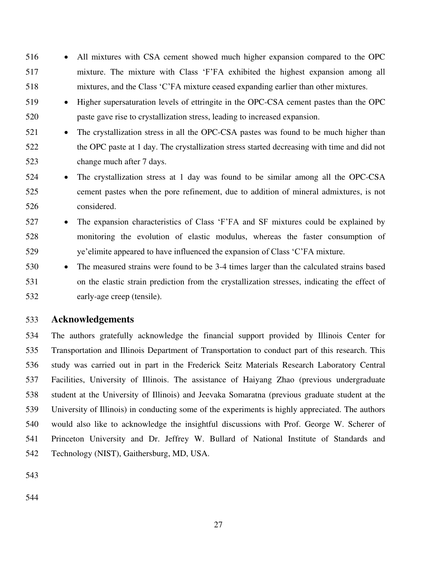- 516 All mixtures with CSA cement showed much higher expansion compared to the OPC 517 mixture. The mixture with Class ‗F'FA exhibited the highest expansion among all 518 mixtures, and the Class ‗C'FA mixture ceased expanding earlier than other mixtures.
- 519 Higher supersaturation levels of ettringite in the OPC-CSA cement pastes than the OPC 520 paste gave rise to crystallization stress, leading to increased expansion.
- 521 The crystallization stress in all the OPC-CSA pastes was found to be much higher than 522 the OPC paste at 1 day. The crystallization stress started decreasing with time and did not 523 change much after 7 days.
- 524 The crystallization stress at 1 day was found to be similar among all the OPC-CSA 525 cement pastes when the pore refinement, due to addition of mineral admixtures, is not 526 considered.
- 527 The expansion characteristics of Class 'F'FA and SF mixtures could be explained by 528 monitoring the evolution of elastic modulus, whereas the faster consumption of 529 ye'elimite appeared to have influenced the expansion of Class 'C'FA mixture.
- 530 The measured strains were found to be 3-4 times larger than the calculated strains based 531 on the elastic strain prediction from the crystallization stresses, indicating the effect of 532 early-age creep (tensile).

# 533 **Acknowledgements**

534 The authors gratefully acknowledge the financial support provided by Illinois Center for 535 Transportation and Illinois Department of Transportation to conduct part of this research. This 536 study was carried out in part in the Frederick Seitz Materials Research Laboratory Central 537 Facilities, University of Illinois. The assistance of Haiyang Zhao (previous undergraduate 538 student at the University of Illinois) and Jeevaka Somaratna (previous graduate student at the 539 University of Illinois) in conducting some of the experiments is highly appreciated. The authors 540 would also like to acknowledge the insightful discussions with Prof. George W. Scherer of 541 Princeton University and Dr. Jeffrey W. Bullard of National Institute of Standards and 542 Technology (NIST), Gaithersburg, MD, USA.

543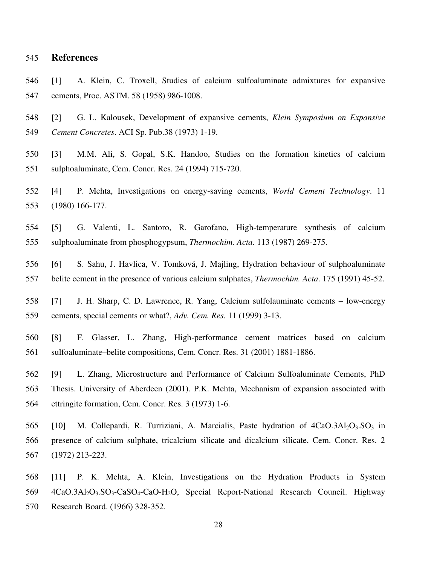#### 545 **References**

- 546 [1] A. Klein, C. Troxell, Studies of calcium sulfoaluminate admixtures for expansive 547 cements, Proc. ASTM. 58 (1958) 986-1008.
- 548 [2] G. L. Kalousek, Development of expansive cements, *Klein Symposium on Expansive*  549 *Cement Concretes*. ACI Sp. Pub.38 (1973) 1-19.
- 550 [3] M.M. Ali, S. Gopal, S.K. Handoo, Studies on the formation kinetics of calcium 551 sulphoaluminate, Cem. Concr. Res. 24 (1994) 715-720.
- 552 [4] P. Mehta, Investigations on energy-saving cements, *World Cement Technology*. 11 553 (1980) 166-177.
- 554 [5] G. Valenti, L. Santoro, R. Garofano, High-temperature synthesis of calcium 555 sulphoaluminate from phosphogypsum, *Thermochim. Acta*. 113 (1987) 269-275.
- 556 [6] S. Sahu, J. Havlica, V. Tomková, J. Majling, Hydration behaviour of sulphoaluminate 557 belite cement in the presence of various calcium sulphates, *Thermochim. Acta*. 175 (1991) 45-52.
- 558 [7] J. H. Sharp, C. D. Lawrence, R. Yang, Calcium sulfolauminate cements low-energy 559 cements, special cements or what?, *Adv. Cem. Res.* 11 (1999) 3-13.
- 560 [8] F. Glasser, L. Zhang, High-performance cement matrices based on calcium 561 sulfoaluminate–belite compositions, Cem. Concr. Res. 31 (2001) 1881-1886.
- 562 [9] L. Zhang, Microstructure and Performance of Calcium Sulfoaluminate Cements, PhD 563 Thesis. University of Aberdeen (2001). P.K. Mehta, Mechanism of expansion associated with 564 ettringite formation, Cem. Concr. Res. 3 (1973) 1-6.
- 565 [10] M. Collepardi, R. Turriziani, A. Marcialis, Paste hydration of  $4CaO.3Al<sub>2</sub>O<sub>3</sub>SO<sub>3</sub>$  in 566 presence of calcium sulphate, tricalcium silicate and dicalcium silicate, Cem. Concr. Res. 2 567 (1972) 213-223.
- 568 [11] P. K. Mehta, A. Klein, Investigations on the Hydration Products in System 569 4CaO.3Al<sub>2</sub>O<sub>3</sub>.SO<sub>3</sub>-CaSO<sub>4</sub>-CaO-H<sub>2</sub>O, Special Report-National Research Council. Highway 570 Research Board. (1966) 328-352.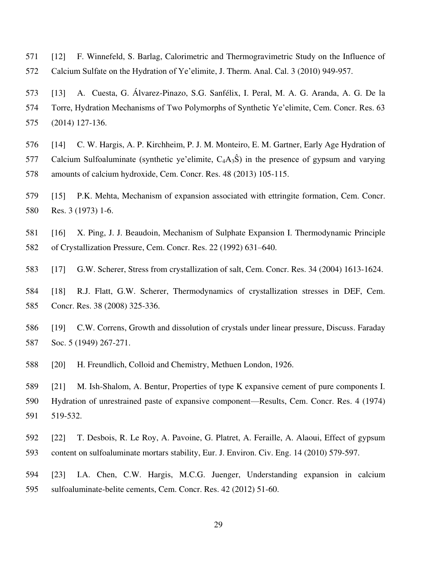- 571 [12] F. Winnefeld, S. Barlag, Calorimetric and Thermogravimetric Study on the Influence of 572 Calcium Sulfate on the Hydration of Ye'elimite, J. Therm. Anal. Cal. 3 (2010) 949-957.
- 573 [13] A. Cuesta, G. Álvarez-Pinazo, S.G. Sanfélix, I. Peral, M. A. G. Aranda, A. G. De la 574 Torre, Hydration Mechanisms of Two Polymorphs of Synthetic Ye'elimite, Cem. Concr. Res. 63 575 (2014) 127-136.
- 576 [14] C. W. Hargis, A. P. Kirchheim, P. J. M. Monteiro, E. M. Gartner, Early Age Hydration of 577 Calcium Sulfoaluminate (synthetic ye'elimite,  $C_4A_3\hat{S}$ ) in the presence of gypsum and varying 578 amounts of calcium hydroxide, Cem. Concr. Res. 48 (2013) 105-115.
- 579 [15] P.K. Mehta, Mechanism of expansion associated with ettringite formation, Cem. Concr. 580 Res. 3 (1973) 1-6.
- 581 [16] X. Ping, J. J. Beaudoin, Mechanism of Sulphate Expansion I. Thermodynamic Principle 582 of Crystallization Pressure, Cem. Concr. Res. 22 (1992) 631–640.
- 583 [17] G.W. Scherer, Stress from crystallization of salt, Cem. Concr. Res. 34 (2004) 1613-1624.
- 584 [18] R.J. Flatt, G.W. Scherer, Thermodynamics of crystallization stresses in DEF, Cem. 585 Concr. Res. 38 (2008) 325-336.
- 586 [19] C.W. Correns, Growth and dissolution of crystals under linear pressure, Discuss. Faraday 587 Soc. 5 (1949) 267-271.
- 588 [20] H. Freundlich, Colloid and Chemistry, Methuen London, 1926.
- 589 [21] M. Ish-Shalom, A. Bentur, Properties of type K expansive cement of pure components I. 590 Hydration of unrestrained paste of expansive component—Results, Cem. Concr. Res. 4 (1974) 591 519-532.
- 592 [22] T. Desbois, R. Le Roy, A. Pavoine, G. Platret, A. Feraille, A. Alaoui, Effect of gypsum 593 content on sulfoaluminate mortars stability, Eur. J. Environ. Civ. Eng. 14 (2010) 579-597.
- 594 [23] I.A. Chen, C.W. Hargis, M.C.G. Juenger, Understanding expansion in calcium 595 sulfoaluminate-belite cements, Cem. Concr. Res. 42 (2012) 51-60.
	- 29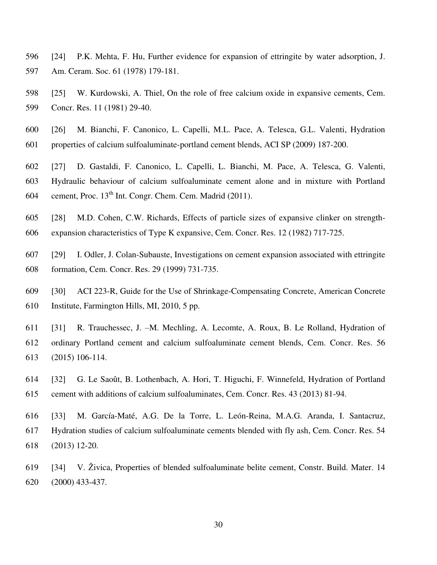- 596 [24] P.K. Mehta, F. Hu, Further evidence for expansion of ettringite by water adsorption, J. 597 Am. Ceram. Soc. 61 (1978) 179-181.
- 598 [25] W. Kurdowski, A. Thiel, On the role of free calcium oxide in expansive cements, Cem. 599 Concr. Res. 11 (1981) 29-40.
- 600 [26] M. Bianchi, F. Canonico, L. Capelli, M.L. Pace, A. Telesca, G.L. Valenti, Hydration 601 properties of calcium sulfoaluminate-portland cement blends, ACI SP (2009) 187-200.
- 602 [27] D. Gastaldi, F. Canonico, L. Capelli, L. Bianchi, M. Pace, A. Telesca, G. Valenti, 603 Hydraulic behaviour of calcium sulfoaluminate cement alone and in mixture with Portland 604 cement, Proc.  $13<sup>th</sup>$  Int. Congr. Chem. Cem. Madrid (2011).
- 605 [28] M.D. Cohen, C.W. Richards, Effects of particle sizes of expansive clinker on strength-606 expansion characteristics of Type K expansive, Cem. Concr. Res. 12 (1982) 717-725.
- 607 [29] I. Odler, J. Colan-Subauste, Investigations on cement expansion associated with ettringite 608 formation, Cem. Concr. Res. 29 (1999) 731-735.
- 609 [30] ACI 223-R, Guide for the Use of Shrinkage-Compensating Concrete, American Concrete 610 Institute, Farmington Hills, MI, 2010, 5 pp.
- 611 [31] R. Trauchessec, J. –M. Mechling, A. Lecomte, A. Roux, B. Le Rolland, Hydration of 612 ordinary Portland cement and calcium sulfoaluminate cement blends, Cem. Concr. Res. 56 613 (2015) 106-114.
- 614 [32] G. Le Saoût, B. Lothenbach, A. Hori, T. Higuchi, F. Winnefeld, Hydration of Portland 615 cement with additions of calcium sulfoaluminates, Cem. Concr. Res. 43 (2013) 81-94.
- 616 [33] M. García-Maté, A.G. De la Torre, L. León-Reina, M.A.G. Aranda, I. Santacruz, 617 Hydration studies of calcium sulfoaluminate cements blended with fly ash, Cem. Concr. Res. 54 618 (2013) 12-20.
- 619 [34] V. Živica, Properties of blended sulfoaluminate belite cement, Constr. Build. Mater. 14 620 (2000) 433-437.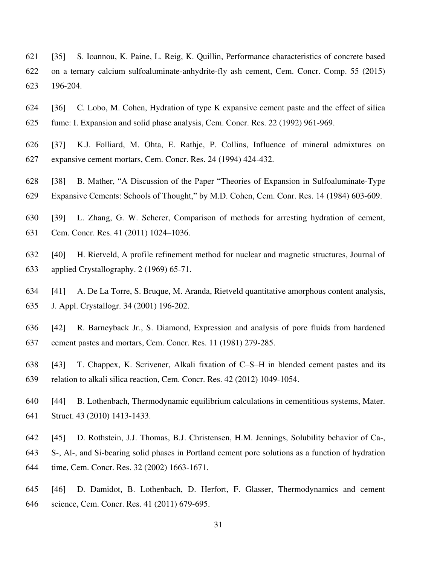- 621 [35] S. Ioannou, K. Paine, L. Reig, K. Quillin, Performance characteristics of concrete based 622 on a ternary calcium sulfoaluminate-anhydrite-fly ash cement, Cem. Concr. Comp. 55 (2015) 623 196-204.
- 624 [36] C. Lobo, M. Cohen, Hydration of type K expansive cement paste and the effect of silica 625 fume: I. Expansion and solid phase analysis, Cem. Concr. Res. 22 (1992) 961-969.
- 626 [37] K.J. Folliard, M. Ohta, E. Rathje, P. Collins, Influence of mineral admixtures on 627 expansive cement mortars, Cem. Concr. Res. 24 (1994) 424-432.
- 628 [38] B. Mather, "A Discussion of the Paper "Theories of Expansion in Sulfoaluminate-Type 629 Expansive Cements: Schools of Thought," by M.D. Cohen, Cem. Conr. Res. 14 (1984) 603-609.
- 630 [39] L. Zhang, G. W. Scherer, Comparison of methods for arresting hydration of cement, 631 Cem. Concr. Res. 41 (2011) 1024–1036.
- 632 [40] H. Rietveld, A profile refinement method for nuclear and magnetic structures, Journal of 633 applied Crystallography. 2 (1969) 65-71.
- 634 [41] A. De La Torre, S. Bruque, M. Aranda, Rietveld quantitative amorphous content analysis, 635 J. Appl. Crystallogr. 34 (2001) 196-202.
- 636 [42] R. Barneyback Jr., S. Diamond, Expression and analysis of pore fluids from hardened 637 cement pastes and mortars, Cem. Concr. Res. 11 (1981) 279-285.
- 638 [43] T. Chappex, K. Scrivener, Alkali fixation of C–S–H in blended cement pastes and its 639 relation to alkali silica reaction, Cem. Concr. Res. 42 (2012) 1049-1054.
- 640 [44] B. Lothenbach, Thermodynamic equilibrium calculations in cementitious systems, Mater. 641 Struct. 43 (2010) 1413-1433.
- 642 [45] D. Rothstein, J.J. Thomas, B.J. Christensen, H.M. Jennings, Solubility behavior of Ca-, 643 S-, Al-, and Si-bearing solid phases in Portland cement pore solutions as a function of hydration 644 time, Cem. Concr. Res. 32 (2002) 1663-1671.
- 645 [46] D. Damidot, B. Lothenbach, D. Herfort, F. Glasser, Thermodynamics and cement 646 science, Cem. Concr. Res. 41 (2011) 679-695.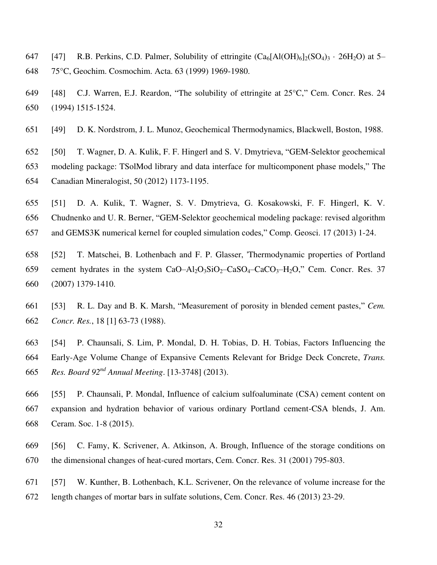- 647 [47] R.B. Perkins, C.D. Palmer, Solubility of ettringite  $(Ca_6[A(OH)_6]_2(SO_4)_3 \cdot 26H_2O)$  at 5– 648 75°C, Geochim. Cosmochim. Acta. 63 (1999) 1969-1980.
- 649 [48] C.J. Warren, E.J. Reardon, "The solubility of ettringite at  $25^{\circ}$ C," Cem. Concr. Res. 24 650 (1994) 1515-1524.
- 651 [49] D. K. Nordstrom, J. L. Munoz, Geochemical Thermodynamics, Blackwell, Boston, 1988.
- 652 [50] T. Wagner, D. A. Kulik, F. F. Hingerl and S. V. Dmytrieva, "GEM-Selektor geochemical 653 modeling package: TSolMod library and data interface for multicomponent phase models," The 654 Canadian Mineralogist, 50 (2012) 1173-1195.
- 655 [51] D. A. Kulik, T. Wagner, S. V. Dmytrieva, G. Kosakowski, F. F. Hingerl, K. V. 656 Chudnenko and U. R. Berner, "GEM-Selektor geochemical modeling package: revised algorithm 657 and GEMS3K numerical kernel for coupled simulation codes," Comp. Geosci. 17 (2013) 1-24.
- 658 [52] T. Matschei, B. Lothenbach and F. P. Glasser, 'Thermodynamic properties of Portland 659 cement hydrates in the system  $CaO-AI_2O_3SiO_2-CaSO_4-CaCO_3-H_2O$ , Cem. Concr. Res. 37 660 (2007) 1379-1410.
- 661 [53] R. L. Day and B. K. Marsh, "Measurement of porosity in blended cement pastes," Cem. 662 *Concr. Res.*, 18 [1] 63-73 (1988).
- 663 [54] P. Chaunsali, S. Lim, P. Mondal, D. H. Tobias, D. H. Tobias, Factors Influencing the 664 Early-Age Volume Change of Expansive Cements Relevant for Bridge Deck Concrete, *Trans. Res. Board 92nd* 665 *Annual Meeting*. [13-3748] (2013).
- 666 [55] P. Chaunsali, P. Mondal, Influence of calcium sulfoaluminate (CSA) cement content on 667 expansion and hydration behavior of various ordinary Portland cement-CSA blends, J. Am. 668 Ceram. Soc. 1-8 (2015).
- 669 [56] C. Famy, K. Scrivener, A. Atkinson, A. Brough, Influence of the storage conditions on 670 the dimensional changes of heat-cured mortars, Cem. Concr. Res. 31 (2001) 795-803.
- 671 [57] W. Kunther, B. Lothenbach, K.L. Scrivener, On the relevance of volume increase for the 672 length changes of mortar bars in sulfate solutions, Cem. Concr. Res. 46 (2013) 23-29.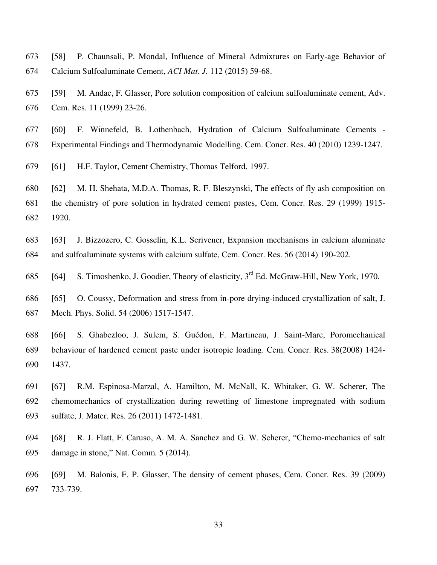- 673 [58] P. Chaunsali, P. Mondal, Influence of Mineral Admixtures on Early-age Behavior of
- 674 Calcium Sulfoaluminate Cement, *ACI Mat. J.* 112 (2015) 59-68.
- 675 [59] M. Andac, F. Glasser, Pore solution composition of calcium sulfoaluminate cement, Adv. 676 Cem. Res. 11 (1999) 23-26.
- 677 [60] F. Winnefeld, B. Lothenbach, Hydration of Calcium Sulfoaluminate Cements 678 Experimental Findings and Thermodynamic Modelling, Cem. Concr. Res. 40 (2010) 1239-1247.
- 679 [61] H.F. Taylor, Cement Chemistry, Thomas Telford, 1997.
- 680 [62] M. H. Shehata, M.D.A. Thomas, R. F. Bleszynski, The effects of fly ash composition on 681 the chemistry of pore solution in hydrated cement pastes, Cem. Concr. Res. 29 (1999) 1915- 682 1920.
- 683 [63] J. Bizzozero, C. Gosselin, K.L. Scrivener, Expansion mechanisms in calcium aluminate 684 and sulfoaluminate systems with calcium sulfate, Cem. Concr. Res. 56 (2014) 190-202.
- 685 [64] S. Timoshenko, J. Goodier, Theory of elasticity, 3<sup>rd</sup> Ed. McGraw-Hill, New York, 1970.
- 686 [65] O. Coussy, Deformation and stress from in-pore drying-induced crystallization of salt, J. 687 Mech. Phys. Solid. 54 (2006) 1517-1547.
- 688 [66] S. Ghabezloo, J. Sulem, S. Guédon, F. Martineau, J. Saint-Marc, Poromechanical 689 behaviour of hardened cement paste under isotropic loading. Cem. Concr. Res. 38(2008) 1424- 690 1437.
- 691 [67] R.M. Espinosa-Marzal, A. Hamilton, M. McNall, K. Whitaker, G. W. Scherer, The 692 chemomechanics of crystallization during rewetting of limestone impregnated with sodium 693 sulfate, J. Mater. Res. 26 (2011) 1472-1481.
- 694 [68] R. J. Flatt, F. Caruso, A. M. A. Sanchez and G. W. Scherer, "Chemo-mechanics of salt 695 damage in stone,‖ Nat. Comm*.* 5 (2014).
- 696 [69] M. Balonis, F. P. Glasser, The density of cement phases, Cem. Concr. Res. 39 (2009) 697 733-739.